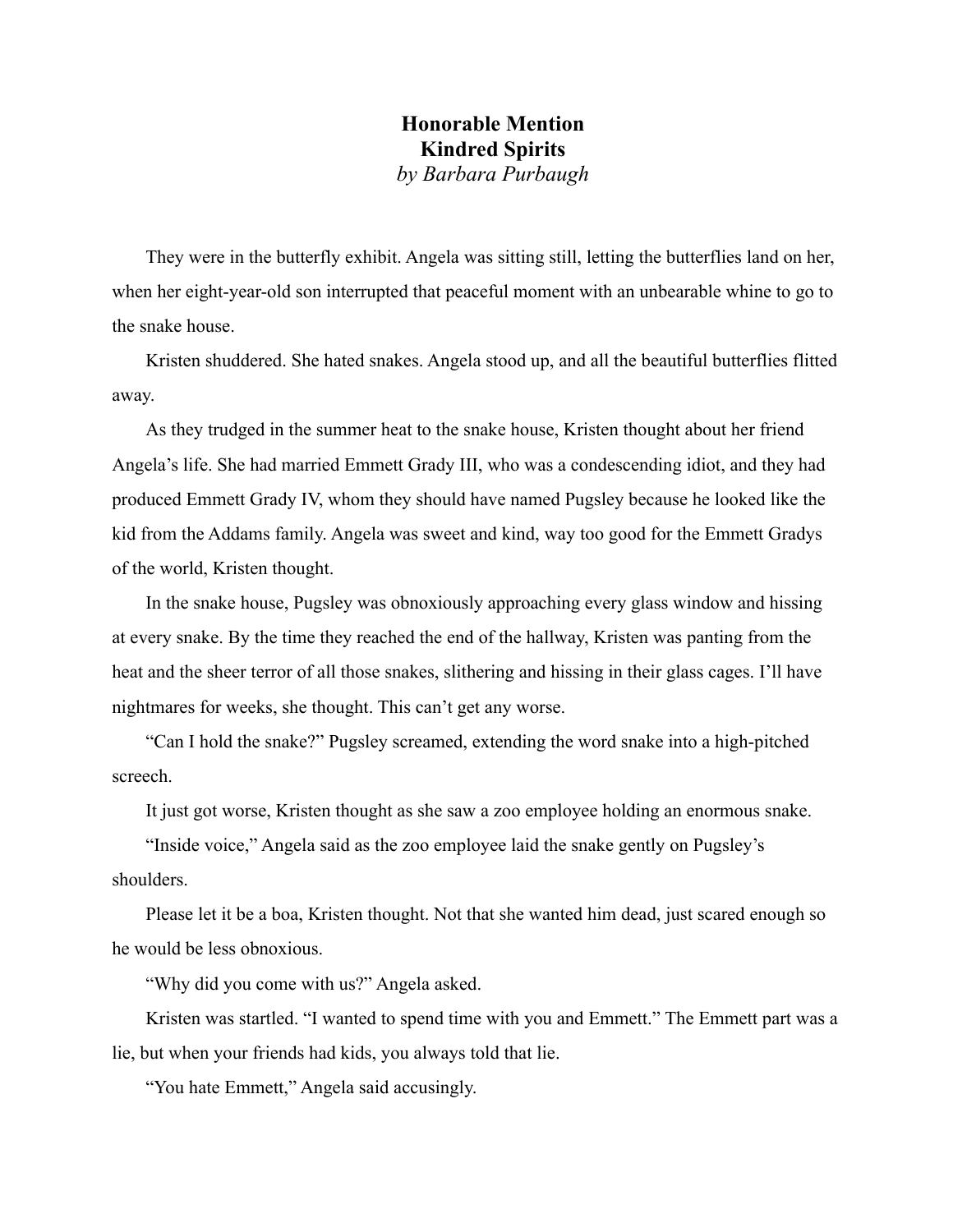## **Honorable Mention Kindred Spirits**  *by Barbara Purbaugh*

They were in the butterfly exhibit. Angela was sitting still, letting the butterflies land on her, when her eight-year-old son interrupted that peaceful moment with an unbearable whine to go to the snake house.

Kristen shuddered. She hated snakes. Angela stood up, and all the beautiful butterflies flitted away.

As they trudged in the summer heat to the snake house, Kristen thought about her friend Angela's life. She had married Emmett Grady III, who was a condescending idiot, and they had produced Emmett Grady IV, whom they should have named Pugsley because he looked like the kid from the Addams family. Angela was sweet and kind, way too good for the Emmett Gradys of the world, Kristen thought.

In the snake house, Pugsley was obnoxiously approaching every glass window and hissing at every snake. By the time they reached the end of the hallway, Kristen was panting from the heat and the sheer terror of all those snakes, slithering and hissing in their glass cages. I'll have nightmares for weeks, she thought. This can't get any worse.

"Can I hold the snake?" Pugsley screamed, extending the word snake into a high-pitched screech.

It just got worse, Kristen thought as she saw a zoo employee holding an enormous snake.

"Inside voice," Angela said as the zoo employee laid the snake gently on Pugsley's shoulders.

Please let it be a boa, Kristen thought. Not that she wanted him dead, just scared enough so he would be less obnoxious.

"Why did you come with us?" Angela asked.

Kristen was startled. "I wanted to spend time with you and Emmett." The Emmett part was a lie, but when your friends had kids, you always told that lie.

"You hate Emmett," Angela said accusingly.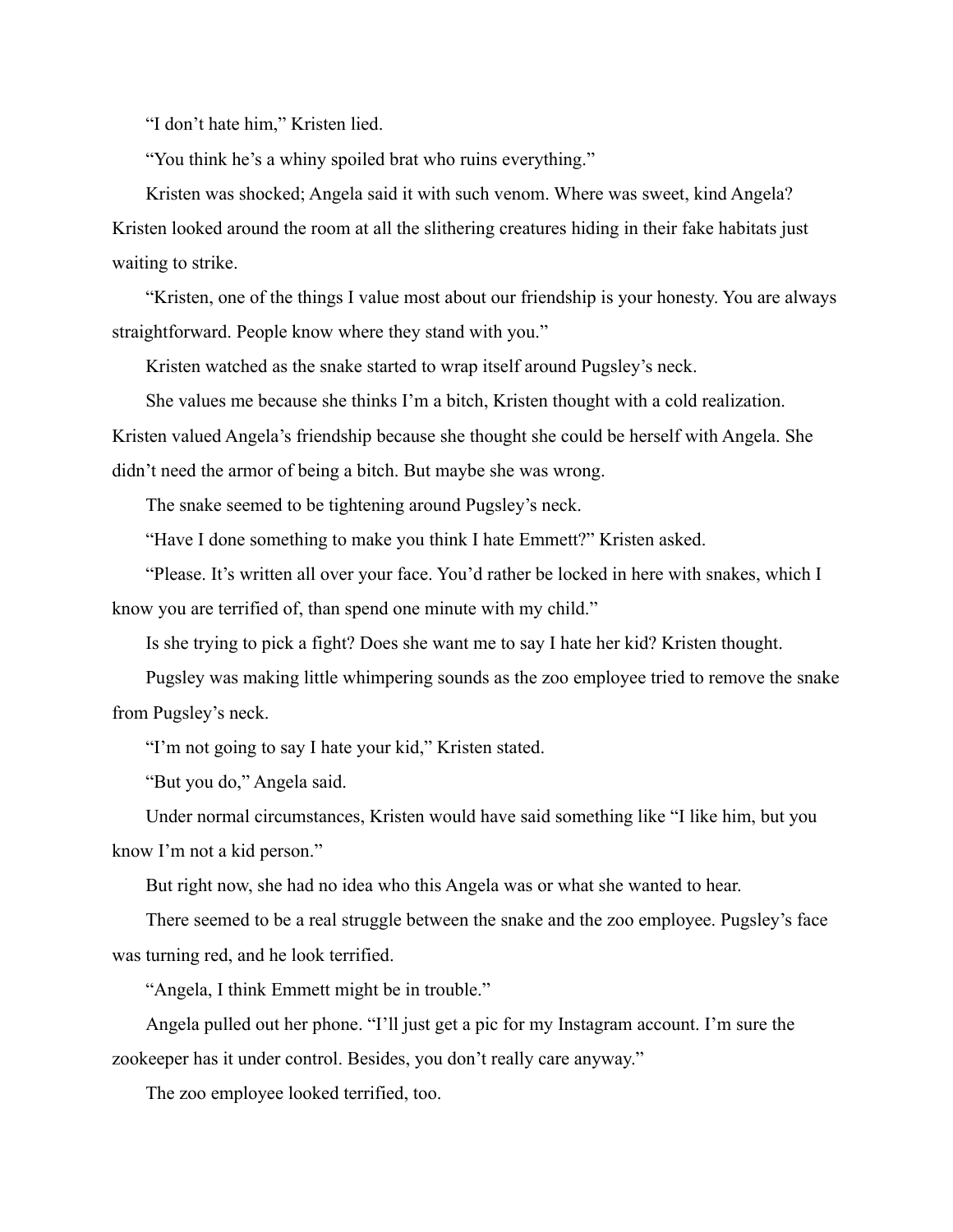"I don't hate him," Kristen lied.

"You think he's a whiny spoiled brat who ruins everything."

Kristen was shocked; Angela said it with such venom. Where was sweet, kind Angela? Kristen looked around the room at all the slithering creatures hiding in their fake habitats just waiting to strike.

"Kristen, one of the things I value most about our friendship is your honesty. You are always straightforward. People know where they stand with you."

Kristen watched as the snake started to wrap itself around Pugsley's neck.

She values me because she thinks I'm a bitch, Kristen thought with a cold realization. Kristen valued Angela's friendship because she thought she could be herself with Angela. She didn't need the armor of being a bitch. But maybe she was wrong.

The snake seemed to be tightening around Pugsley's neck.

"Have I done something to make you think I hate Emmett?" Kristen asked.

"Please. It's written all over your face. You'd rather be locked in here with snakes, which I know you are terrified of, than spend one minute with my child."

Is she trying to pick a fight? Does she want me to say I hate her kid? Kristen thought.

Pugsley was making little whimpering sounds as the zoo employee tried to remove the snake from Pugsley's neck.

"I'm not going to say I hate your kid," Kristen stated.

"But you do," Angela said.

Under normal circumstances, Kristen would have said something like "I like him, but you know I'm not a kid person."

But right now, she had no idea who this Angela was or what she wanted to hear.

There seemed to be a real struggle between the snake and the zoo employee. Pugsley's face was turning red, and he look terrified.

"Angela, I think Emmett might be in trouble."

Angela pulled out her phone. "I'll just get a pic for my Instagram account. I'm sure the zookeeper has it under control. Besides, you don't really care anyway."

The zoo employee looked terrified, too.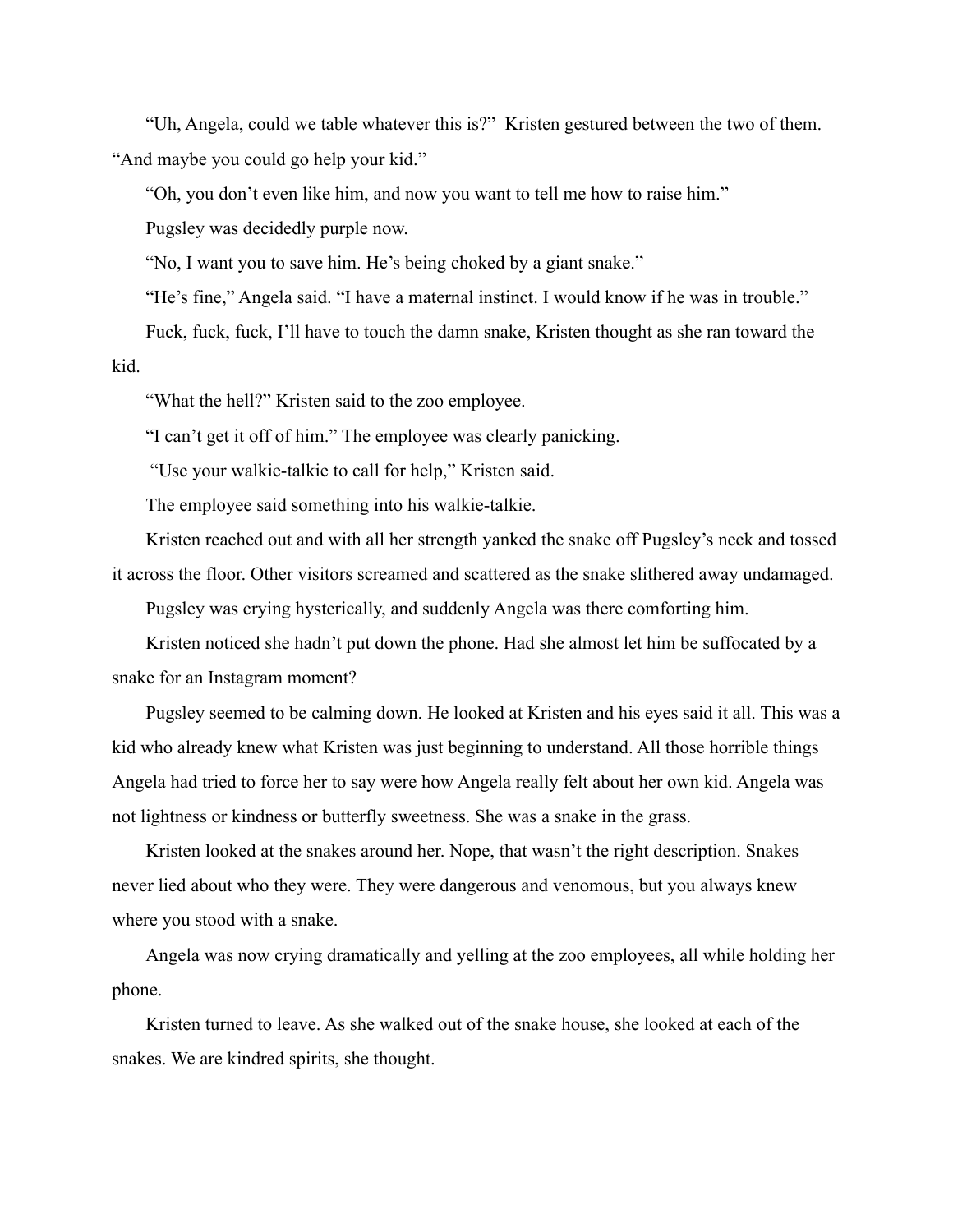"Uh, Angela, could we table whatever this is?" Kristen gestured between the two of them. "And maybe you could go help your kid."

"Oh, you don't even like him, and now you want to tell me how to raise him."

Pugsley was decidedly purple now.

"No, I want you to save him. He's being choked by a giant snake."

"He's fine," Angela said. "I have a maternal instinct. I would know if he was in trouble."

Fuck, fuck, fuck, I'll have to touch the damn snake, Kristen thought as she ran toward the kid.

"What the hell?" Kristen said to the zoo employee.

"I can't get it off of him." The employee was clearly panicking.

"Use your walkie-talkie to call for help," Kristen said.

The employee said something into his walkie-talkie.

Kristen reached out and with all her strength yanked the snake off Pugsley's neck and tossed it across the floor. Other visitors screamed and scattered as the snake slithered away undamaged.

Pugsley was crying hysterically, and suddenly Angela was there comforting him.

Kristen noticed she hadn't put down the phone. Had she almost let him be suffocated by a snake for an Instagram moment?

Pugsley seemed to be calming down. He looked at Kristen and his eyes said it all. This was a kid who already knew what Kristen was just beginning to understand. All those horrible things Angela had tried to force her to say were how Angela really felt about her own kid. Angela was not lightness or kindness or butterfly sweetness. She was a snake in the grass.

Kristen looked at the snakes around her. Nope, that wasn't the right description. Snakes never lied about who they were. They were dangerous and venomous, but you always knew where you stood with a snake.

Angela was now crying dramatically and yelling at the zoo employees, all while holding her phone.

Kristen turned to leave. As she walked out of the snake house, she looked at each of the snakes. We are kindred spirits, she thought.